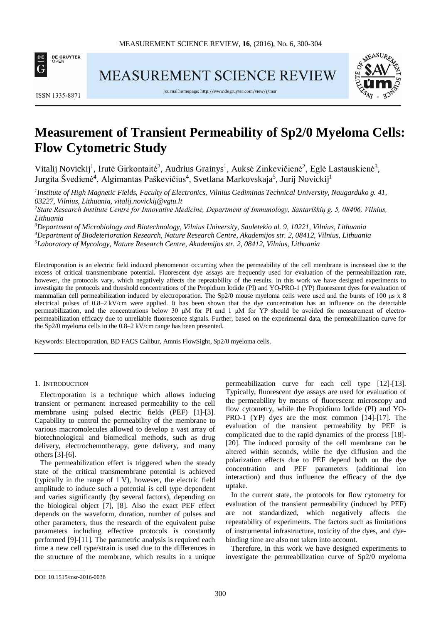

MEASUREMENT SCIENCE REVIEW



**ISSN 1335-8871** 

Journal homepage[: http://www.degruyter.com/view/j/msr](http://www.degruyter.com/view/j/msr)

# **Measurement of Transient Permeability of Sp2/0 Myeloma Cells: Flow Cytometric Study**

Vitalij Novickij<sup>1</sup>, Irutė Girkontaitė<sup>2</sup>, Audrius Grainys<sup>1</sup>, Auksė Zinkevičienė<sup>2</sup>, Eglė Lastauskienė<sup>3</sup>, Jurgita Švedienė<sup>4</sup>, Algimantas Paškevičius<sup>4</sup>, Svetlana Markovskaja<sup>5</sup>, Jurij Novickij<sup>1</sup>

*1 Institute of High Magnetic Fields, Faculty of Electronics, Vilnius Gediminas Technical University, Naugarduko g. 41, 03227, Vilnius, Lithuania, vitalij.novickij@vgtu.lt*

*2 State Research Institute Centre for Innovative Medicine, Department of Immunology, Santariškių g. 5, 08406, Vilnius, Lithuania*

*3 Department of Microbiology and Biotechnology, Vilnius University, Sauletekio al. 9, 10221, Vilnius, Lithuania 4 Department of Biodeterioration Research, Nature Research Centre, Akademijos str. 2, 08412, Vilnius, Lithuania 5 Laboratory of Mycology, Nature Research Centre, Akademijos str. 2, 08412, Vilnius, Lithuania*

Electroporation is an electric field induced phenomenon occurring when the permeability of the cell membrane is increased due to the excess of critical transmembrane potential. Fluorescent dye assays are frequently used for evaluation of the permeabilization rate, however, the protocols vary, which negatively affects the repeatability of the results. In this work we have designed experiments to investigate the protocols and threshold concentrations of the Propidium Iodide (PI) and YO-PRO-1 (YP) fluorescent dyes for evaluation of mammalian cell permeabilization induced by electroporation. The Sp2/0 mouse myeloma cells were used and the bursts of 100 μs x 8 electrical pulses of 0.8–2 kV/cm were applied. It has been shown that the dye concentration has an influence on the detectable permeabilization, and the concentrations below 30 μM for PI and 1 μM for YP should be avoided for measurement of electropermeabilization efficacy due to unreliable fluorescence signals. Further, based on the experimental data, the permeabilization curve for the Sp2/0 myeloma cells in the 0.8–2 kV/cm range has been presented.

Keywords: Electroporation, BD FACS Calibur, Amnis FlowSight, Sp2/0 myeloma cells.

# 1. INTRODUCTION

Electroporation is a technique which allows inducing transient or permanent increased permeability to the cell membrane using pulsed electric fields (PEF) [1]-[3]. Capability to control the permeability of the membrane to various macromolecules allowed to develop a vast array of biotechnological and biomedical methods, such as drug delivery, electrochemotherapy, gene delivery, and many others [3]-[6].

The permeabilization effect is triggered when the steady state of the critical transmembrane potential is achieved (typically in the range of 1 V), however, the electric field amplitude to induce such a potential is cell type dependent and varies significantly (by several factors), depending on the biological object [7], [8]. Also the exact PEF effect depends on the waveform, duration, number of pulses and other parameters, thus the research of the equivalent pulse parameters including effective protocols is constantly performed [9]-[11]. The parametric analysis is required each time a new cell type/strain is used due to the differences in the structure of the membrane, which results in a unique

permeabilization curve for each cell type [12]-[13]. Typically, fluorescent dye assays are used for evaluation of the permeability by means of fluorescent microscopy and flow cytometry, while the Propidium Iodide (PI) and YO-PRO-1 (YP) dyes are the most common [14]-[17]. The evaluation of the transient permeability by PEF is complicated due to the rapid dynamics of the process [18]- [20]. The induced porosity of the cell membrane can be altered within seconds, while the dye diffusion and the polarization effects due to PEF depend both on the dye concentration and PEF parameters (additional ion interaction) and thus influence the efficacy of the dye uptake.

In the current state, the protocols for flow cytometry for evaluation of the transient permeability (induced by PEF) are not standardized, which negatively affects the repeatability of experiments. The factors such as limitations of instrumental infrastructure, toxicity of the dyes, and dyebinding time are also not taken into account.

Therefore, in this work we have designed experiments to investigate the permeabilization curve of Sp2/0 myeloma

\_\_\_\_\_\_\_\_\_\_\_\_\_\_\_\_\_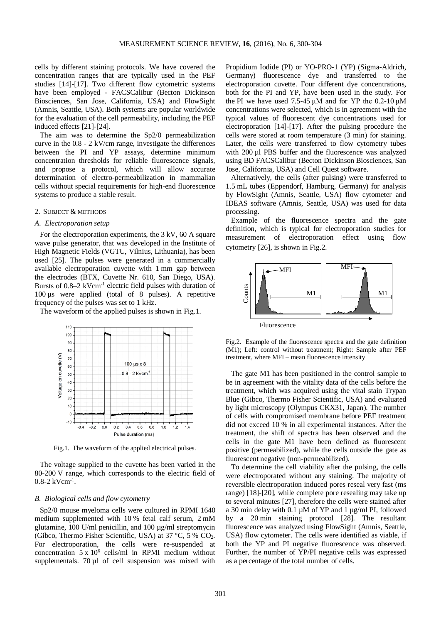cells by different staining protocols. We have covered the concentration ranges that are typically used in the PEF studies [14]-[17]. Two different flow cytometric systems have been employed - FACSCalibur (Becton Dickinson Biosciences, San Jose, California, USA) and FlowSight (Amnis, Seattle, USA). Both systems are popular worldwide for the evaluation of the cell permeability, including the PEF induced effects [21]-[24].

The aim was to determine the Sp2/0 permeabilization curve in the 0.8 - 2 kV/cm range, investigate the differences between the PI and YP assays, determine minimum concentration thresholds for reliable fluorescence signals, and propose a protocol, which will allow accurate determination of electro-permeabilization in mammalian cells without special requirements for high-end fluorescence systems to produce a stable result.

# 2. SUBJECT & METHODS

#### *A. Electroporation setup*

For the electroporation experiments, the 3 kV, 60 A square wave pulse generator, that was developed in the Institute of High Magnetic Fields (VGTU, Vilnius, Lithuania), has been used [25]. The pulses were generated in a commercially available electroporation cuvette with 1 mm gap between the electrodes (BTX, Cuvette Nr. 610, San Diego, USA). Bursts of 0.8–2 kVcm-1 electric field pulses with duration of 100 μs were applied (total of 8 pulses). A repetitive frequency of the pulses was set to 1 kHz.

The waveform of the applied pulses is shown in Fig.1.



Fig.1. The waveform of the applied electrical pulses.

The voltage supplied to the cuvette has been varied in the 80-200 V range, which corresponds to the electric field of 0.8-2 kVcm-1 .

### *B. Biological cells and flow cytometry*

Sp2/0 mouse myeloma cells were cultured in RPMI 1640 medium supplemented with 10 % fetal calf serum, 2 mM glutamine, 100 U/ml penicillin, and 100 µg/ml streptomycin (Gibco, Thermo Fisher Scientific, USA) at 37 °C, 5 % CO2. For electroporation, the cells were re-suspended at concentration  $5 \times 10^6$  cells/ml in RPMI medium without supplementals. 70 µl of cell suspension was mixed with Propidium Iodide (PI) or YO-PRO-1 (YP) (Sigma-Aldrich, Germany) fluorescence dye and transferred to the electroporation cuvette. Four different dye concentrations, both for the PI and YP, have been used in the study. For the PI we have used 7.5-45 μM and for YP the 0.2-10 μM concentrations were selected, which is in agreement with the typical values of fluorescent dye concentrations used for electroporation [14]-[17]. After the pulsing procedure the cells were stored at room temperature (3 min) for staining. Later, the cells were transferred to flow cytometry tubes with 200 µl PBS buffer and the fluorescence was analyzed using BD FACSCalibur (Becton Dickinson Biosciences, San Jose, California, USA) and Cell Quest software.

Alternatively, the cells (after pulsing) were transferred to 1.5 mL tubes (Eppendorf, Hamburg, Germany) for analysis by FlowSight (Amnis, Seattle, USA) flow cytometer and IDEAS software (Amnis, Seattle, USA) was used for data processing.

Example of the fluorescence spectra and the gate definition, which is typical for electroporation studies for measurement of electroporation effect using flow cytometry [26], is shown in Fig.2.



Fluorescence

Fig.2. Example of the fluorescence spectra and the gate definition (M1); Left: control without treatment; Right: Sample after PEF treatment, where MFI – mean fluorescence intensity

The gate M1 has been positioned in the control sample to be in agreement with the vitality data of the cells before the treatment, which was acquired using the vital stain Trypan Blue (Gibco, Thermo Fisher Scientific, USA) and evaluated by light microscopy (Olympus CKX31, Japan). The number of cells with compromised membrane before PEF treatment did not exceed 10 % in all experimental instances. After the treatment, the shift of spectra has been observed and the cells in the gate M1 have been defined as fluorescent positive (permeabilized), while the cells outside the gate as fluorescent negative (non-permeabilized).

To determine the cell viability after the pulsing, the cells were electroporated without any staining. The majority of reversible electroporation induced pores reseal very fast (ms range) [18]-[20], while complete pore resealing may take up to several minutes [27], therefore the cells were stained after a 30 min delay with 0.1 µM of YP and 1 µg/ml PI, followed by a 20 min staining protocol [28]. The resultant fluorescence was analyzed using FlowSight (Amnis, Seattle, USA) flow cytometer. The cells were identified as viable, if both the YP and PI negative fluorescence was observed. Further, the number of YP/PI negative cells was expressed **Example 18**<br> **Example of the fluorescence spectra and (M1);** Left: control without treatment; Right: treatment, where MFI – mean fluorescence inter<br>
The gate M1 has been positioned in the be in agreement with the vitalit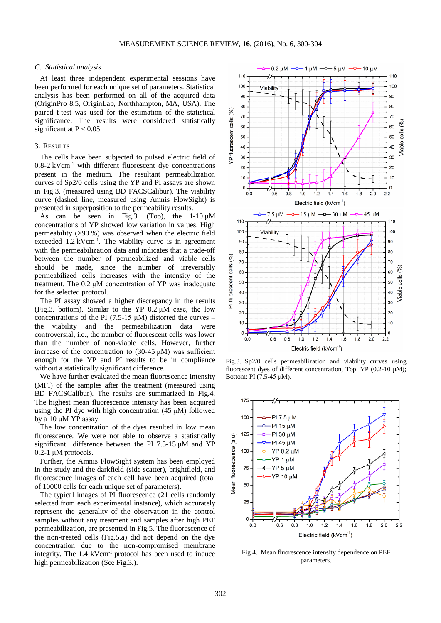# *C. Statistical analysis*

At least three independent experimental sessions have been performed for each unique set of parameters. Statistical analysis has been performed on all of the acquired data (OriginPro 8.5, OriginLab, Northhampton, MA, USA). The paired t-test was used for the estimation of the statistical significance. The results were considered statistically significant at  $P < 0.05$ .

# 3. RESULTS

The cells have been subjected to pulsed electric field of  $0.8-2$  kVcm<sup>-1</sup> with different fluorescent dye concentrations present in the medium. The resultant permeabilization curves of Sp2/0 cells using the YP and PI assays are shown in Fig.3. (measured using BD FACSCalibur). The viability curve (dashed line, measured using Amnis FlowSight) is presented in superposition to the permeability results.

As can be seen in Fig.3. (Top), the  $1-10 \mu M$ concentrations of YP showed low variation in values. High permeability (>90 %) was observed when the electric field exceeded 1.2 kVcm<sup>-1</sup>. The viability curve is in agreement with the permeabilization data and indicates that a trade-off between the number of permeabilized and viable cells should be made, since the number of irreversibly permeabilized cells increases with the intensity of the treatment. The 0.2 μM concentration of YP was inadequate for the selected protocol.

The PI assay showed a higher discrepancy in the results (Fig.3. bottom). Similar to the YP  $0.2 \mu M$  case, the low concentrations of the PI (7.5-15  $\mu$ M) distorted the curves – the viability and the permeabilization data were controversial, i.e., the number of fluorescent cells was lower than the number of non-viable cells. However, further increase of the concentration to (30-45 μM) was sufficient enough for the YP and PI results to be in compliance without a statistically significant difference.

We have further evaluated the mean fluorescence intensity (MFI) of the samples after the treatment (measured using BD FACSCalibur). The results are summarized in Fig.4. The highest mean fluorescence intensity has been acquired using the PI dye with high concentration (45 μM) followed by a 10 μM YP assay.

The low concentration of the dyes resulted in low mean fluorescence. We were not able to observe a statistically significant difference between the PI 7.5-15 μM and YP 0.2-1 μM protocols.

Further, the Amnis FlowSight system has been employed in the study and the darkfield (side scatter), brightfield, and fluorescence images of each cell have been acquired (total of 10000 cells for each unique set of parameters).

The typical images of PI fluorescence (21 cells randomly selected from each experimental instance), which accurately represent the generality of the observation in the control samples without any treatment and samples after high PEF permeabilization, are presented in Fig.5. The fluorescence of the non-treated cells (Fig.5.a) did not depend on the dye concentration due to the non-compromised membrane integrity. The 1.4 kVcm<sup>-1</sup> protocol has been used to induce high permeabilization (See Fig.3.).



Fig.3. Sp2/0 cells permeabilization and viability curves using fluorescent dyes of different concentration, Top: YP (0.2-10 μM); Bottom: PI (7.5-45 μM).



Fig.4. Mean fluorescence intensity dependence on PEF parameters.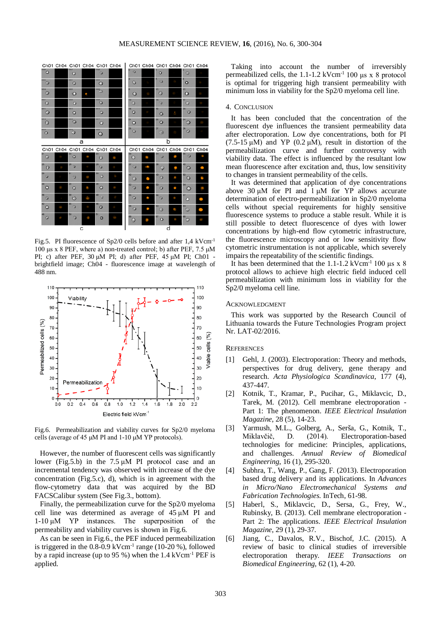

Fig.5. PI fluorescence of Sp2/0 cells before and after 1,4 kVcm<sup>-1</sup> 100 μs x 8 PEF, where a) non-treated control; b) after PEF, 7.5 μM PI; c) after PEF, 30 μM PI; d) after PEF, 45 μM PI; Ch01 brightfield image; Ch04 - fluorescence image at wavelength of 488 nm.



Fig.6. Permeabilization and viability curves for Sp2/0 myeloma cells (average of 45 μM PI and 1-10 μM YP protocols).

However, the number of fluorescent cells was significantly lower (Fig.5.b) in the 7.5 μM PI protocol case and an incremental tendency was observed with increase of the dye concentration (Fig.5.c), d), which is in agreement with the flow-cytometry data that was acquired by the BD FACSCalibur system (See Fig.3., bottom).

Finally, the permeabilization curve for the Sp2/0 myeloma cell line was determined as average of 45 μM PI and 1-10 μM YP instances. The superposition of the permeability and viability curves is shown in Fig.6.

As can be seen in Fig.6., the PEF induced permeabilization is triggered in the  $0.8-0.9$  kVcm<sup>-1</sup> range (10-20 %), followed by a rapid increase (up to 95 %) when the 1.4 kVcm-1 PEF is applied.

Taking into account the number of irreversibly permeabilized cells, the 1.1-1.2 kVcm<sup>-1</sup> 100 μs x 8 protocol is optimal for triggering high transient permeability with minimum loss in viability for the Sp2/0 myeloma cell line.

#### 4. CONCLUSION

It has been concluded that the concentration of the fluorescent dye influences the transient permeability data after electroporation. Low dye concentrations, both for PI (7.5-15  $\mu$ M) and YP (0.2  $\mu$ M), result in distortion of the permeabilization curve and further controversy with viability data. The effect is influenced by the resultant low mean fluorescence after excitation and, thus, low sensitivity to changes in transient permeability of the cells.

It was determined that application of dye concentrations above 30  $\mu$ M for PI and 1  $\mu$ M for YP allows accurate determination of electro-permeabilization in Sp2/0 myeloma cells without special requirements for highly sensitive fluorescence systems to produce a stable result. While it is still possible to detect fluorescence of dyes with lower concentrations by high-end flow cytometric infrastructure, the fluorescence microscopy and or low sensitivity flow cytometric instrumentation is not applicable, which severely impairs the repeatability of the scientific findings.

It has been determined that the 1.1-1.2 kVcm<sup>-1</sup> 100 μs x 8 protocol allows to achieve high electric field induced cell permeabilization with minimum loss in viability for the Sp2/0 myeloma cell line.

#### ACKNOWLEDGMENT

This work was supported by the Research Council of Lithuania towards the Future Technologies Program project Nr. LAT-02/2016.

#### **REFERENCES**

- [1] Gehl, J. (2003). Electroporation: Theory and methods, perspectives for drug delivery, gene therapy and research. *Acta Physiologica Scandinavica*, 177 (4), 437-447.
- [2] Kotnik, T., Kramar, P., Pucihar, G., Miklavcic, D., Tarek, M. (2012). Cell membrane electroporation - Part 1: The phenomenon. *IEEE Electrical Insulation Magazine*, 28 (5), 14-23.
- [3] Yarmush, M.L., Golberg, A., Serša, G., Kotnik, T., Miklavčič, D. (2014). Electroporation-based technologies for medicine: Principles, applications, and challenges. *Annual Review of Biomedical Engineering*, 16 (1), 295-320.
- [4] Subhra, T., Wang, P., Gang, F. (2013). Electroporation based drug delivery and its applications. In *Advances in Micro/Nano Electromechanical Systems and Fabrication Technologies.* InTech, 61-98.
- [5] Haberl, S., Miklavcic, D., Sersa, G., Frey, W., Rubinsky, B. (2013). Cell membrane electroporation - Part 2: The applications. *IEEE Electrical Insulation Magazine*, 29 (1), 29-37.
- [6] Jiang, C., Davalos, R.V., Bischof, J.C. (2015). A review of basic to clinical studies of irreversible electroporation therapy. *IEEE Transactions on Biomedical Engineering*, 62 (1), 4-20.